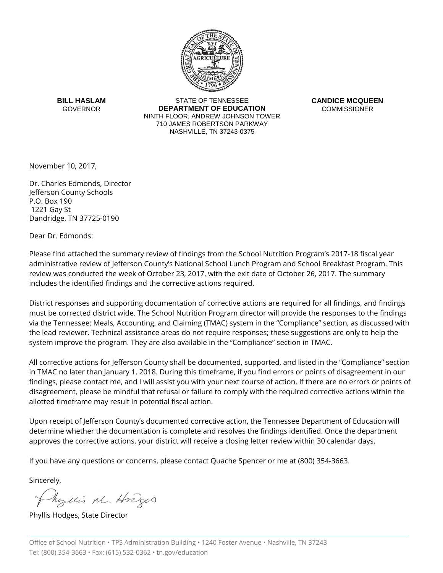

**BILL HASLAM GOVERNOR** 

STATE OF TENNESSEE **DEPARTMENT OF EDUCATION** NINTH FLOOR, ANDREW JOHNSON TOWER 710 JAMES ROBERTSON PARKWAY NASHVILLE, TN 37243-0375

**CANDICE MCQUEEN COMMISSIONER** 

November 10, 2017,

Dr. Charles Edmonds, Director Jefferson County Schools P.O. Box 190 1221 Gay St Dandridge, TN 37725-0190

Dear Dr. Edmonds:

Please find attached the summary review of findings from the School Nutrition Program's 2017-18 fiscal year administrative review of Jefferson County's National School Lunch Program and School Breakfast Program. This review was conducted the week of October 23, 2017, with the exit date of October 26, 2017. The summary includes the identified findings and the corrective actions required.

District responses and supporting documentation of corrective actions are required for all findings, and findings must be corrected district wide. The School Nutrition Program director will provide the responses to the findings via the Tennessee: Meals, Accounting, and Claiming (TMAC) system in the "Compliance" section, as discussed with the lead reviewer. Technical assistance areas do not require responses; these suggestions are only to help the system improve the program. They are also available in the "Compliance" section in TMAC.

All corrective actions for Jefferson County shall be documented, supported, and listed in the "Compliance" section in TMAC no later than January 1, 2018. During this timeframe, if you find errors or points of disagreement in our findings, please contact me, and I will assist you with your next course of action. If there are no errors or points of disagreement, please be mindful that refusal or failure to comply with the required corrective actions within the allotted timeframe may result in potential fiscal action.

Upon receipt of Jefferson County's documented corrective action, the Tennessee Department of Education will determine whether the documentation is complete and resolves the findings identified. Once the department approves the corrective actions, your district will receive a closing letter review within 30 calendar days.

If you have any questions or concerns, please contact Quache Spencer or me at (800) 354-3663.

Sincerely,

Myllis M. Hodges

Phyllis Hodges, State Director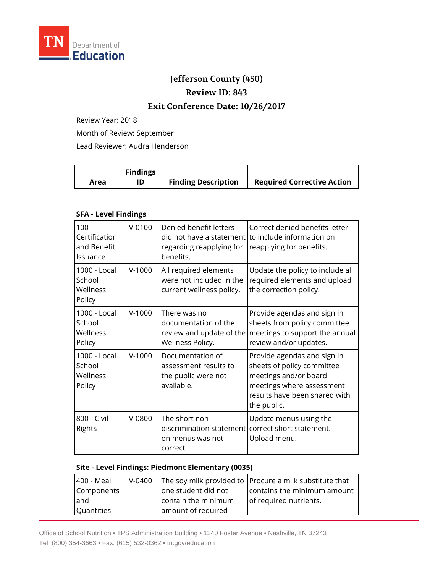

# **Jefferson County (450)**

## **Review ID: 843**

### **Exit Conference Date: 10/26/2017**

Review Year: 2018

Month of Review: September

Lead Reviewer: Audra Henderson

|      | <b>Findings</b> |                            |                                   |
|------|-----------------|----------------------------|-----------------------------------|
| Area |                 | <b>Finding Description</b> | <b>Required Corrective Action</b> |

#### **SFA - Level Findings**

| $100 -$<br>Certification<br>and Benefit<br>Issuance | $V - 0100$ | Denied benefit letters<br>did not have a statement<br>regarding reapplying for<br>benefits.         | Correct denied benefits letter<br>to include information on<br>reapplying for benefits.                                                                         |
|-----------------------------------------------------|------------|-----------------------------------------------------------------------------------------------------|-----------------------------------------------------------------------------------------------------------------------------------------------------------------|
| 1000 - Local<br>School<br>Wellness<br>Policy        | $V-1000$   | All required elements<br>were not included in the<br>current wellness policy.                       | Update the policy to include all<br>required elements and upload<br>the correction policy.                                                                      |
| 1000 - Local<br>School<br>Wellness<br>Policy        | $V-1000$   | There was no<br>documentation of the<br>review and update of the<br>Wellness Policy.                | Provide agendas and sign in<br>sheets from policy committee<br>meetings to support the annual<br>review and/or updates.                                         |
| 1000 - Local<br>School<br>Wellness<br>Policy        | $V-1000$   | Documentation of<br>assessment results to<br>the public were not<br>available.                      | Provide agendas and sign in<br>sheets of policy committee<br>meetings and/or board<br>meetings where assessment<br>results have been shared with<br>the public. |
| 800 - Civil<br>Rights                               | V-0800     | The short non-<br>discrimination statement correct short statement.<br>on menus was not<br>correct. | Update menus using the<br>Upload menu.                                                                                                                          |

#### **Site - Level Findings: Piedmont Elementary (0035)**

| 400 - Meal   | $V-0400$ |                     | The soy milk provided to Procure a milk substitute that |
|--------------|----------|---------------------|---------------------------------------------------------|
| Components   |          | one student did not | contains the minimum amount                             |
| land         |          | contain the minimum | of required nutrients.                                  |
| Quantities - |          | amount of required  |                                                         |